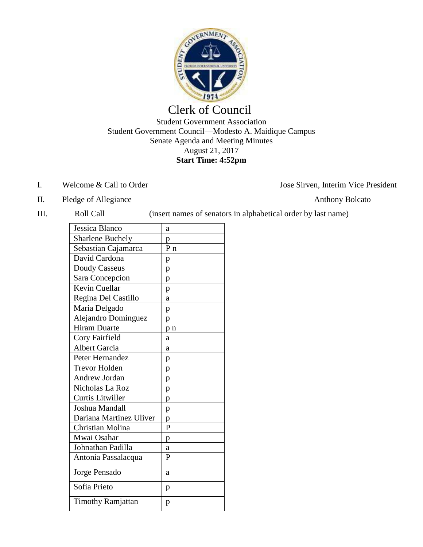

## Clerk of Council

Student Government Association Student Government Council—Modesto A. Maidique Campus Senate Agenda and Meeting Minutes August 21, 2017 **Start Time: 4:52pm**

- I. Welcome & Call to Order Jose Sirven, Interim Vice President
- II. Pledge of Allegiance Anthony Bolcato
- 

III. Roll Call (insert names of senators in alphabetical order by last name)

| Jessica Blanco           | а              |
|--------------------------|----------------|
| <b>Sharlene Buchely</b>  | p              |
| Sebastian Cajamarca      | P <sub>n</sub> |
| David Cardona            | p              |
| Doudy Casseus            | p              |
| Sara Concepcion          | p              |
| Kevin Cuellar            | p              |
| Regina Del Castillo      | a              |
| Maria Delgado            | p              |
| Alejandro Dominguez      | p              |
| <b>Hiram Duarte</b>      | p n            |
| Cory Fairfield           | a              |
| <b>Albert Garcia</b>     | a              |
| Peter Hernandez          | p              |
| <b>Trevor Holden</b>     | p              |
| <b>Andrew Jordan</b>     | p              |
| Nicholas La Roz          | p              |
| Curtis Litwiller         | p              |
| Joshua Mandall           | p              |
| Dariana Martinez Uliver  | p              |
| Christian Molina         | $\mathbf{P}$   |
| Mwai Osahar              | p              |
| Johnathan Padilla        | a              |
| Antonia Passalacqua      | P              |
| Jorge Pensado            | a              |
| Sofia Prieto             | p              |
| <b>Timothy Ramjattan</b> | p              |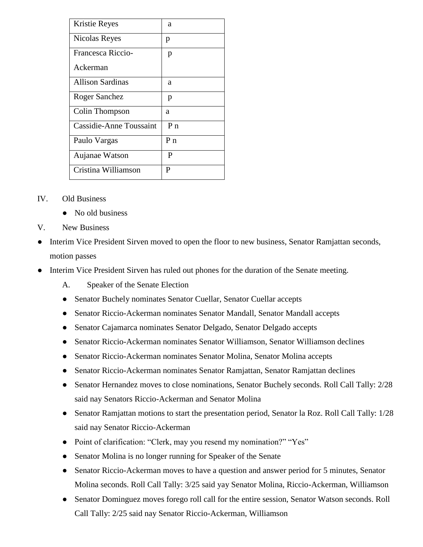| Kristie Reyes           | a              |
|-------------------------|----------------|
| Nicolas Reyes           | p              |
| Francesca Riccio-       | p              |
| Ackerman                |                |
| <b>Allison Sardinas</b> | a              |
| Roger Sanchez           | p              |
| Colin Thompson          | а              |
| Cassidie-Anne Toussaint | $P_{n}$        |
| Paulo Vargas            | P <sub>n</sub> |
| Aujanae Watson          | P              |
| Cristina Williamson     | P              |

- IV. Old Business
	- No old business
- V. New Business
- Interim Vice President Sirven moved to open the floor to new business, Senator Ramjattan seconds, motion passes
- Interim Vice President Sirven has ruled out phones for the duration of the Senate meeting.
	- A. Speaker of the Senate Election
	- Senator Buchely nominates Senator Cuellar, Senator Cuellar accepts
	- Senator Riccio-Ackerman nominates Senator Mandall, Senator Mandall accepts
	- Senator Cajamarca nominates Senator Delgado, Senator Delgado accepts
	- Senator Riccio-Ackerman nominates Senator Williamson, Senator Williamson declines
	- Senator Riccio-Ackerman nominates Senator Molina, Senator Molina accepts
	- Senator Riccio-Ackerman nominates Senator Ramjattan, Senator Ramjattan declines
	- Senator Hernandez moves to close nominations, Senator Buchely seconds. Roll Call Tally: 2/28 said nay Senators Riccio-Ackerman and Senator Molina
	- Senator Ramjattan motions to start the presentation period, Senator la Roz. Roll Call Tally: 1/28 said nay Senator Riccio-Ackerman
	- Point of clarification: "Clerk, may you resend my nomination?" "Yes"
	- Senator Molina is no longer running for Speaker of the Senate
	- Senator Riccio-Ackerman moves to have a question and answer period for 5 minutes, Senator Molina seconds. Roll Call Tally: 3/25 said yay Senator Molina, Riccio-Ackerman, Williamson
	- Senator Dominguez moves forego roll call for the entire session, Senator Watson seconds. Roll Call Tally: 2/25 said nay Senator Riccio-Ackerman, Williamson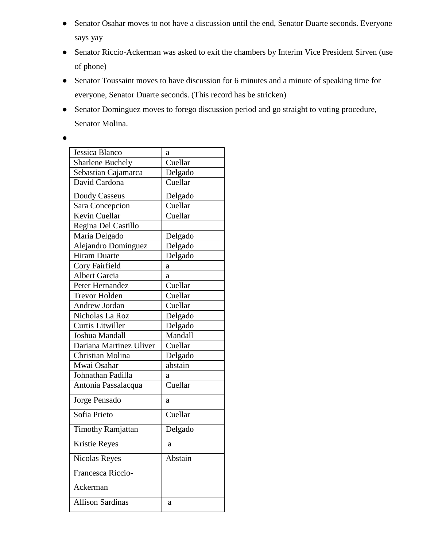- Senator Osahar moves to not have a discussion until the end, Senator Duarte seconds. Everyone says yay
- Senator Riccio-Ackerman was asked to exit the chambers by Interim Vice President Sirven (use of phone)
- Senator Toussaint moves to have discussion for 6 minutes and a minute of speaking time for everyone, Senator Duarte seconds. (This record has be stricken)
- Senator Dominguez moves to forego discussion period and go straight to voting procedure, Senator Molina.
- $\bullet$

| Jessica Blanco           | a       |
|--------------------------|---------|
| <b>Sharlene Buchely</b>  | Cuellar |
| Sebastian Cajamarca      | Delgado |
| David Cardona            | Cuellar |
| Doudy Casseus            | Delgado |
| Sara Concepcion          | Cuellar |
| Kevin Cuellar            | Cuellar |
| Regina Del Castillo      |         |
| Maria Delgado            | Delgado |
| Alejandro Dominguez      | Delgado |
| <b>Hiram Duarte</b>      | Delgado |
| Cory Fairfield           | a       |
| <b>Albert Garcia</b>     | a       |
| Peter Hernandez          | Cuellar |
| <b>Trevor Holden</b>     | Cuellar |
| Andrew Jordan            | Cuellar |
| Nicholas La Roz          | Delgado |
| Curtis Litwiller         | Delgado |
| Joshua Mandall           | Mandall |
| Dariana Martinez Uliver  | Cuellar |
| Christian Molina         | Delgado |
| Mwai Osahar              | abstain |
| Johnathan Padilla        | а       |
| Antonia Passalacqua      | Cuellar |
| Jorge Pensado            | a       |
| Sofia Prieto             | Cuellar |
| <b>Timothy Ramjattan</b> | Delgado |
| Kristie Reyes            | a       |
| Nicolas Reyes            | Abstain |
| Francesca Riccio-        |         |
| Ackerman                 |         |
| <b>Allison Sardinas</b>  | a       |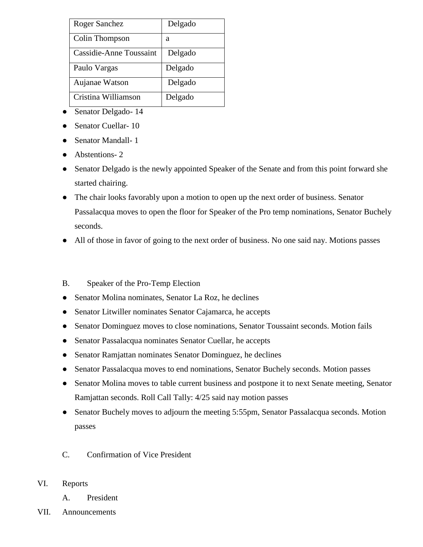| <b>Roger Sanchez</b>    | Delgado |
|-------------------------|---------|
| Colin Thompson          | а       |
| Cassidie-Anne Toussaint | Delgado |
| Paulo Vargas            | Delgado |
| Aujanae Watson          | Delgado |
| Cristina Williamson     | Delgado |

- Senator Delgado- 14
- Senator Cuellar- 10
- Senator Mandall- 1
- Abstentions-2
- Senator Delgado is the newly appointed Speaker of the Senate and from this point forward she started chairing.
- The chair looks favorably upon a motion to open up the next order of business. Senator Passalacqua moves to open the floor for Speaker of the Pro temp nominations, Senator Buchely seconds.
- All of those in favor of going to the next order of business. No one said nay. Motions passes

## B. Speaker of the Pro-Temp Election

- Senator Molina nominates, Senator La Roz, he declines
- Senator Litwiller nominates Senator Cajamarca, he accepts
- Senator Dominguez moves to close nominations, Senator Toussaint seconds. Motion fails
- Senator Passalacqua nominates Senator Cuellar, he accepts
- Senator Ramjattan nominates Senator Dominguez, he declines
- Senator Passalacqua moves to end nominations, Senator Buchely seconds. Motion passes
- Senator Molina moves to table current business and postpone it to next Senate meeting, Senator Ramjattan seconds. Roll Call Tally: 4/25 said nay motion passes
- Senator Buchely moves to adjourn the meeting 5:55pm, Senator Passalacqua seconds. Motion passes
- C. Confirmation of Vice President
- VI. Reports
	- A. President
- VII. Announcements